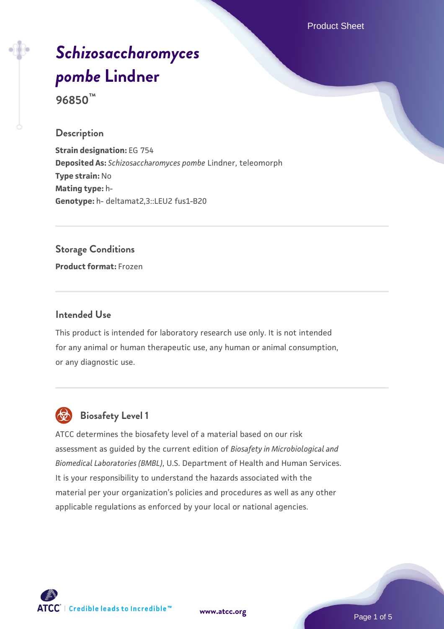Product Sheet

# *[Schizosaccharomyces](https://www.atcc.org/products/96850) [pombe](https://www.atcc.org/products/96850)* **[Lindner](https://www.atcc.org/products/96850)**

**96850™**

#### **Description**

**Strain designation:** EG 754 **Deposited As:** *Schizosaccharomyces pombe* Lindner, teleomorph **Type strain:** No **Mating type:** h-**Genotype:** h- deltamat2,3::LEU2 fus1-B20

**Storage Conditions Product format:** Frozen

#### **Intended Use**

This product is intended for laboratory research use only. It is not intended for any animal or human therapeutic use, any human or animal consumption, or any diagnostic use.



# **Biosafety Level 1**

ATCC determines the biosafety level of a material based on our risk assessment as guided by the current edition of *Biosafety in Microbiological and Biomedical Laboratories (BMBL)*, U.S. Department of Health and Human Services. It is your responsibility to understand the hazards associated with the material per your organization's policies and procedures as well as any other applicable regulations as enforced by your local or national agencies.



**[www.atcc.org](http://www.atcc.org)**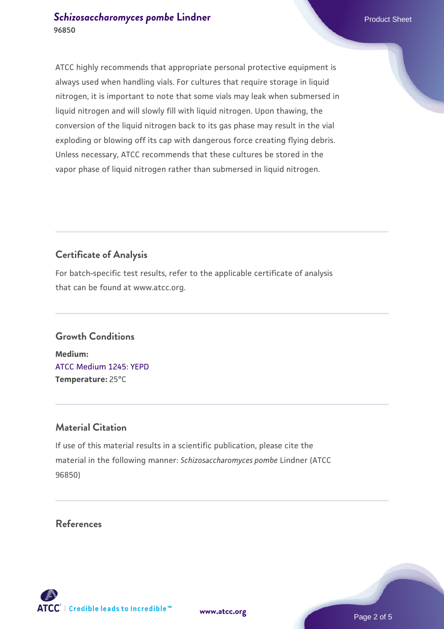#### **[Schizosaccharomyces pombe](https://www.atcc.org/products/96850)** [Lindner](https://www.atcc.org/products/96850) **Product Sheet** Product Sheet **96850**

ATCC highly recommends that appropriate personal protective equipment is always used when handling vials. For cultures that require storage in liquid nitrogen, it is important to note that some vials may leak when submersed in liquid nitrogen and will slowly fill with liquid nitrogen. Upon thawing, the conversion of the liquid nitrogen back to its gas phase may result in the vial exploding or blowing off its cap with dangerous force creating flying debris. Unless necessary, ATCC recommends that these cultures be stored in the vapor phase of liquid nitrogen rather than submersed in liquid nitrogen.

## **Certificate of Analysis**

For batch-specific test results, refer to the applicable certificate of analysis that can be found at www.atcc.org.

#### **Growth Conditions**

**Medium:**  [ATCC Medium 1245: YEPD](https://www.atcc.org/-/media/product-assets/documents/microbial-media-formulations/1/2/4/5/atcc-medium-1245.pdf?rev=705ca55d1b6f490a808a965d5c072196) **Temperature:** 25°C

#### **Material Citation**

If use of this material results in a scientific publication, please cite the material in the following manner: *Schizosaccharomyces pombe* Lindner (ATCC 96850)

#### **References**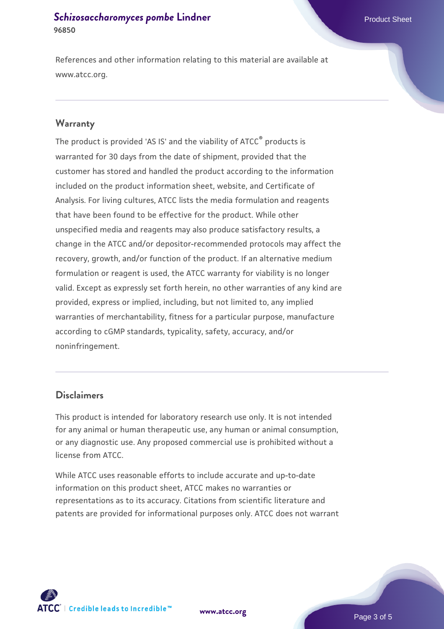#### **[Schizosaccharomyces pombe](https://www.atcc.org/products/96850)** [Lindner](https://www.atcc.org/products/96850) **Product Sheet** Product Sheet **96850**

References and other information relating to this material are available at www.atcc.org.

#### **Warranty**

The product is provided 'AS IS' and the viability of ATCC® products is warranted for 30 days from the date of shipment, provided that the customer has stored and handled the product according to the information included on the product information sheet, website, and Certificate of Analysis. For living cultures, ATCC lists the media formulation and reagents that have been found to be effective for the product. While other unspecified media and reagents may also produce satisfactory results, a change in the ATCC and/or depositor-recommended protocols may affect the recovery, growth, and/or function of the product. If an alternative medium formulation or reagent is used, the ATCC warranty for viability is no longer valid. Except as expressly set forth herein, no other warranties of any kind are provided, express or implied, including, but not limited to, any implied warranties of merchantability, fitness for a particular purpose, manufacture according to cGMP standards, typicality, safety, accuracy, and/or noninfringement.

#### **Disclaimers**

This product is intended for laboratory research use only. It is not intended for any animal or human therapeutic use, any human or animal consumption, or any diagnostic use. Any proposed commercial use is prohibited without a license from ATCC.

While ATCC uses reasonable efforts to include accurate and up-to-date information on this product sheet, ATCC makes no warranties or representations as to its accuracy. Citations from scientific literature and patents are provided for informational purposes only. ATCC does not warrant



**[www.atcc.org](http://www.atcc.org)**

Page 3 of 5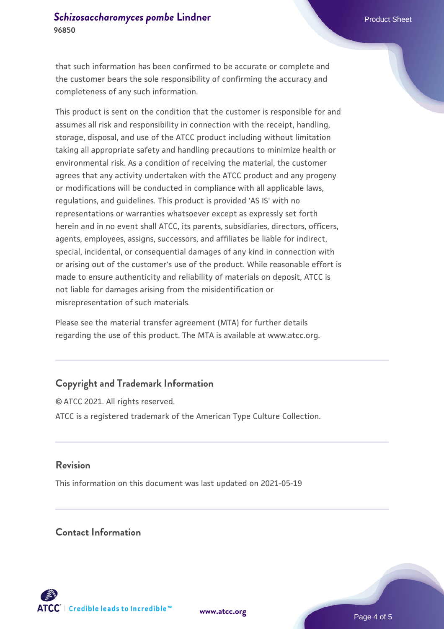that such information has been confirmed to be accurate or complete and the customer bears the sole responsibility of confirming the accuracy and completeness of any such information.

This product is sent on the condition that the customer is responsible for and assumes all risk and responsibility in connection with the receipt, handling, storage, disposal, and use of the ATCC product including without limitation taking all appropriate safety and handling precautions to minimize health or environmental risk. As a condition of receiving the material, the customer agrees that any activity undertaken with the ATCC product and any progeny or modifications will be conducted in compliance with all applicable laws, regulations, and guidelines. This product is provided 'AS IS' with no representations or warranties whatsoever except as expressly set forth herein and in no event shall ATCC, its parents, subsidiaries, directors, officers, agents, employees, assigns, successors, and affiliates be liable for indirect, special, incidental, or consequential damages of any kind in connection with or arising out of the customer's use of the product. While reasonable effort is made to ensure authenticity and reliability of materials on deposit, ATCC is not liable for damages arising from the misidentification or misrepresentation of such materials.

Please see the material transfer agreement (MTA) for further details regarding the use of this product. The MTA is available at www.atcc.org.

### **Copyright and Trademark Information**

© ATCC 2021. All rights reserved. ATCC is a registered trademark of the American Type Culture Collection.

#### **Revision**

This information on this document was last updated on 2021-05-19

#### **Contact Information**